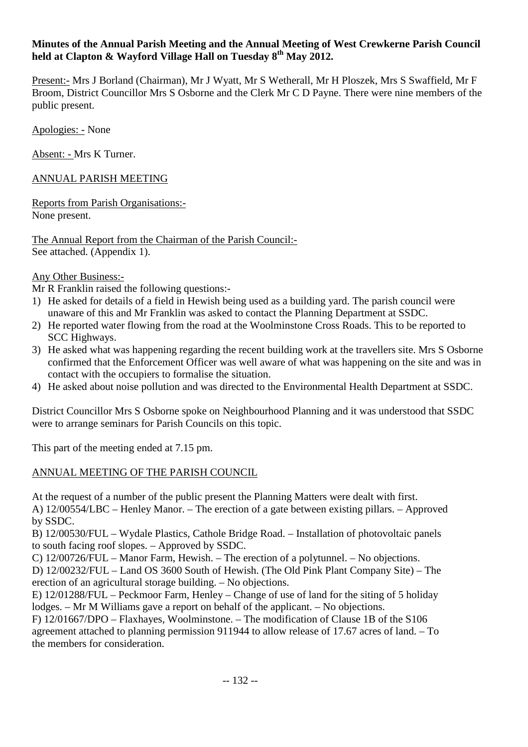## **Minutes of the Annual Parish Meeting and the Annual Meeting of West Crewkerne Parish Council held at Clapton & Wayford Village Hall on Tuesday 8th May 2012.**

Present:- Mrs J Borland (Chairman), Mr J Wyatt, Mr S Wetherall, Mr H Ploszek, Mrs S Swaffield, Mr F Broom, District Councillor Mrs S Osborne and the Clerk Mr C D Payne. There were nine members of the public present.

Apologies: - None

Absent: - Mrs K Turner.

ANNUAL PARISH MEETING

Reports from Parish Organisations:- None present.

The Annual Report from the Chairman of the Parish Council:- See attached. (Appendix 1).

Any Other Business:-

Mr R Franklin raised the following questions:-

- 1) He asked for details of a field in Hewish being used as a building yard. The parish council were unaware of this and Mr Franklin was asked to contact the Planning Department at SSDC.
- 2) He reported water flowing from the road at the Woolminstone Cross Roads. This to be reported to SCC Highways.
- 3) He asked what was happening regarding the recent building work at the travellers site. Mrs S Osborne confirmed that the Enforcement Officer was well aware of what was happening on the site and was in contact with the occupiers to formalise the situation.
- 4) He asked about noise pollution and was directed to the Environmental Health Department at SSDC.

District Councillor Mrs S Osborne spoke on Neighbourhood Planning and it was understood that SSDC were to arrange seminars for Parish Councils on this topic.

This part of the meeting ended at 7.15 pm.

## ANNUAL MEETING OF THE PARISH COUNCIL

At the request of a number of the public present the Planning Matters were dealt with first. A) 12/00554/LBC – Henley Manor. – The erection of a gate between existing pillars. – Approved by SSDC.

B) 12/00530/FUL – Wydale Plastics, Cathole Bridge Road. – Installation of photovoltaic panels to south facing roof slopes. – Approved by SSDC.

 C) 12/00726/FUL – Manor Farm, Hewish. – The erection of a polytunnel. – No objections. D) 12/00232/FUL – Land OS 3600 South of Hewish. (The Old Pink Plant Company Site) – The erection of an agricultural storage building. – No objections.

E) 12/01288/FUL – Peckmoor Farm, Henley – Change of use of land for the siting of 5 holiday lodges. – Mr M Williams gave a report on behalf of the applicant. – No objections.

F) 12/01667/DPO – Flaxhayes, Woolminstone. – The modification of Clause 1B of the S106 agreement attached to planning permission 911944 to allow release of 17.67 acres of land. – To the members for consideration.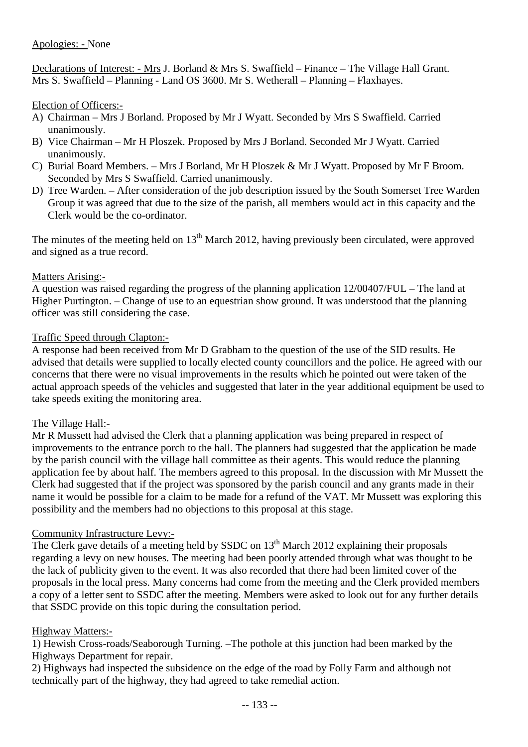## Apologies: - None

Declarations of Interest: - Mrs J. Borland & Mrs S. Swaffield – Finance – The Village Hall Grant. Mrs S. Swaffield – Planning - Land OS 3600. Mr S. Wetherall – Planning – Flaxhayes.

### Election of Officers:-

- A) Chairman Mrs J Borland. Proposed by Mr J Wyatt. Seconded by Mrs S Swaffield. Carried unanimously.
- B) Vice Chairman Mr H Ploszek. Proposed by Mrs J Borland. Seconded Mr J Wyatt. Carried unanimously.
- C) Burial Board Members. Mrs J Borland, Mr H Ploszek & Mr J Wyatt. Proposed by Mr F Broom. Seconded by Mrs S Swaffield. Carried unanimously.
- D) Tree Warden. After consideration of the job description issued by the South Somerset Tree Warden Group it was agreed that due to the size of the parish, all members would act in this capacity and the Clerk would be the co-ordinator.

The minutes of the meeting held on  $13<sup>th</sup>$  March 2012, having previously been circulated, were approved and signed as a true record.

### Matters Arising:-

A question was raised regarding the progress of the planning application 12/00407/FUL – The land at Higher Purtington. – Change of use to an equestrian show ground. It was understood that the planning officer was still considering the case.

### Traffic Speed through Clapton:-

A response had been received from Mr D Grabham to the question of the use of the SID results. He advised that details were supplied to locally elected county councillors and the police. He agreed with our concerns that there were no visual improvements in the results which he pointed out were taken of the actual approach speeds of the vehicles and suggested that later in the year additional equipment be used to take speeds exiting the monitoring area.

#### The Village Hall:-

Mr R Mussett had advised the Clerk that a planning application was being prepared in respect of improvements to the entrance porch to the hall. The planners had suggested that the application be made by the parish council with the village hall committee as their agents. This would reduce the planning application fee by about half. The members agreed to this proposal. In the discussion with Mr Mussett the Clerk had suggested that if the project was sponsored by the parish council and any grants made in their name it would be possible for a claim to be made for a refund of the VAT. Mr Mussett was exploring this possibility and the members had no objections to this proposal at this stage.

#### Community Infrastructure Levy:-

The Clerk gave details of a meeting held by SSDC on 13<sup>th</sup> March 2012 explaining their proposals regarding a levy on new houses. The meeting had been poorly attended through what was thought to be the lack of publicity given to the event. It was also recorded that there had been limited cover of the proposals in the local press. Many concerns had come from the meeting and the Clerk provided members a copy of a letter sent to SSDC after the meeting. Members were asked to look out for any further details that SSDC provide on this topic during the consultation period.

#### Highway Matters:-

1) Hewish Cross-roads/Seaborough Turning. –The pothole at this junction had been marked by the Highways Department for repair.

2) Highways had inspected the subsidence on the edge of the road by Folly Farm and although not technically part of the highway, they had agreed to take remedial action.